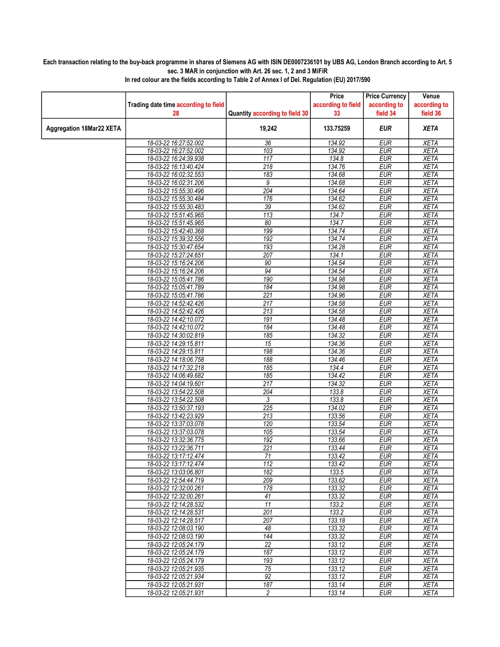## Each transaction relating to the buy-back programme in shares of Siemens AG with ISIN DE0007236101 by UBS AG, London Branch according to Art. 5 sec. 3 MAR in conjunction with Art. 26 sec. 1, 2 and 3 MiFiR

|                                 |                                      |                                | Price              | <b>Price Currency</b> | Venue        |
|---------------------------------|--------------------------------------|--------------------------------|--------------------|-----------------------|--------------|
|                                 | Trading date time according to field |                                | according to field | according to          | according to |
|                                 | 28                                   | Quantity according to field 30 | 33                 | field 34              | field 36     |
| <b>Aggregation 18Mar22 XETA</b> |                                      | 19,242                         | 133.75259          | <b>EUR</b>            | <b>XETA</b>  |
|                                 | 18-03-22 16:27:52.002                | 36                             | 134.92             | <b>EUR</b>            | <b>XETA</b>  |
|                                 | 18-03-22 16:27:52.002                | 103                            | 134.92             | <b>EUR</b>            | <b>XETA</b>  |
|                                 | 18-03-22 16:24:39.938                | 117                            | 134.8              | <b>EUR</b>            | <b>XETA</b>  |
|                                 | 18-03-22 16:13:40.424                | 218                            | 134.76             | <b>EUR</b>            | <b>XETA</b>  |
|                                 | 18-03-22 16:02:32.553                | 183                            | 134.68             | <b>EUR</b>            | <b>XETA</b>  |
|                                 | 18-03-22 16:02:31.206                | 9                              | 134.68             | <b>EUR</b>            | <b>XETA</b>  |
|                                 | 18-03-22 15:55:30.496                | 204                            | 134.64             | <b>EUR</b>            | <b>XETA</b>  |
|                                 | 18-03-22 15:55:30.484                | 176                            | 134.62             | <b>EUR</b>            | <b>XETA</b>  |
|                                 | 18-03-22 15:55:30.483                | 39                             | 134.62             | <b>EUR</b>            | <b>XETA</b>  |
|                                 | 18-03-22 15:51:45.965                | 113                            | 134.7              | <b>EUR</b>            | <b>XETA</b>  |
|                                 | 18-03-22 15:51:45.965                | 80                             | 134.7              | <b>EUR</b>            | <b>XETA</b>  |
|                                 | 18-03-22 15:42:40.368                | 199                            | 134.74             | <b>EUR</b>            | <b>XETA</b>  |
|                                 | 18-03-22 15:39:32.556                | 192                            | 134.74             | <b>EUR</b>            | <b>XETA</b>  |
|                                 | 18-03-22 15:30:47.654                | 193                            | 134.28             | <b>EUR</b>            | <b>XETA</b>  |
|                                 | 18-03-22 15:27:24.651                | 207                            | 134.1              | <b>EUR</b>            | <b>XETA</b>  |
|                                 | 18-03-22 15:16:24.206                | 90                             | 134.54             | <b>EUR</b>            | <b>XETA</b>  |
|                                 | 18-03-22 15:16:24.206                | 94                             | 134.54             | <b>EUR</b>            | <b>XETA</b>  |
|                                 | 18-03-22 15:05:41.786                | 190                            | 134.98             | <b>EUR</b>            | <b>XETA</b>  |
|                                 | 18-03-22 15:05:41.789                | 184                            | 134.98             | <b>EUR</b>            | <b>XETA</b>  |
|                                 | 18-03-22 15:05:41.786                | $\overline{221}$               | 134.96             | <b>EUR</b>            | <b>XETA</b>  |
|                                 | 18-03-22 14:52:42.426                | 217                            | 134.58             | <b>EUR</b>            | <b>XETA</b>  |
|                                 | 18-03-22 14:52:42.426                | 213                            | 134.58             | <b>EUR</b>            | <b>XETA</b>  |
|                                 | 18-03-22 14:42:10.072                | 191                            | 134.48             | <b>EUR</b>            | <b>XETA</b>  |
|                                 | 18-03-22 14:42:10.072                | 184                            | 134.48             | <b>EUR</b>            | <b>XETA</b>  |
|                                 | 18-03-22 14:30:02.819                | 185                            | 134.32             | <b>EUR</b>            | <b>XETA</b>  |
|                                 | 18-03-22 14:29:15.811                | $\overline{15}$                | 134.36             | <b>EUR</b>            | <b>XETA</b>  |
|                                 | 18-03-22 14:29:15.811                | 198                            | 134.36             | <b>EUR</b>            | <b>XETA</b>  |
|                                 | 18-03-22 14:18:06.758                | 188                            | 134.46             | <b>EUR</b>            | <b>XETA</b>  |
|                                 | 18-03-22 14:17:32.218                | 185                            | 134.4              | <b>EUR</b>            | <b>XETA</b>  |
|                                 | 18-03-22 14:06:49.682                | 185                            | 134.42             | <b>EUR</b>            | <b>XETA</b>  |
|                                 | 18-03-22 14:04:19.601                | $\overline{217}$               | 134.32             | <b>EUR</b>            | <b>XETA</b>  |
|                                 | 18-03-22 13:54:22.508                | 204                            | 133.8              | <b>EUR</b>            | <b>XETA</b>  |
|                                 | 18-03-22 13:54:22.508                | 3                              | 133.8              | <b>EUR</b>            | <b>XETA</b>  |
|                                 | 18-03-22 13:50:37.193                | $\overline{225}$               | 134.02             | <b>EUR</b>            | <b>XETA</b>  |
|                                 | 18-03-22 13:42:23.929                | 213                            | 133.56             | <b>EUR</b>            | <b>XETA</b>  |
|                                 | 18-03-22 13:37:03.078                | 120                            | 133.54             | <b>EUR</b>            | <b>XETA</b>  |
|                                 | 18-03-22 13:37:03.078                | 105                            | 133.54             | <b>EUR</b>            | <b>XETA</b>  |
|                                 | 18-03-22 13:32:36.775                | 192                            | 133.66             | <b>EUR</b>            | <b>XETA</b>  |
|                                 | 18-03-22 13:22:36.711                | $\overline{221}$               | 133.44             | <b>EUR</b>            | <b>XETA</b>  |
|                                 | 18-03-22 13:17:12.474                | $\overline{71}$                | 133.42             | <b>EUR</b>            | <b>XETA</b>  |
|                                 | 18-03-22 13:17:12.474                | 112                            | 133.42             | EUR                   | XETA         |
|                                 | 18-03-22 13:03:06.801                | 182                            | 133.5              | <b>EUR</b>            | <b>XETA</b>  |
|                                 | 18-03-22 12:54:44.719                | 209                            | 133.62             | <b>EUR</b>            | <b>XETA</b>  |
|                                 | 18-03-22 12:32:00.261                | 178                            | 133.32             | <b>EUR</b>            | <b>XETA</b>  |
|                                 | 18-03-22 12:32:00.261                | 41                             | 133.32             | <b>EUR</b>            | <b>XETA</b>  |
|                                 | 18-03-22 12:14:28.532                | 11                             | 133.2              | <b>EUR</b>            | <b>XETA</b>  |
|                                 | 18-03-22 12:14:28.531                | 201                            | 133.2              | <b>EUR</b>            | <b>XETA</b>  |
|                                 | 18-03-22 12:14:28.517                | 207                            | 133.18             | <b>EUR</b>            | <b>XETA</b>  |
|                                 | 18-03-22 12:08:03.190                | 48                             | 133.32             | <b>EUR</b>            | <b>XETA</b>  |
|                                 | 18-03-22 12:08:03.190                | 144                            | 133.32             | <b>EUR</b>            | <b>XETA</b>  |
|                                 | 18-03-22 12:05:24.179                | $\overline{22}$                |                    |                       |              |
|                                 | 18-03-22 12:05:24.179                |                                | 133.12             | <b>EUR</b>            | <b>XETA</b>  |
|                                 | 18-03-22 12:05:24.179                | 187                            | 133.12             | <b>EUR</b>            | <b>XETA</b>  |
|                                 |                                      | 193                            | 133.12             | <b>EUR</b>            | <b>XETA</b>  |
|                                 | 18-03-22 12:05:21.935                | $\overline{75}$                | 133.12             | <b>EUR</b>            | <b>XETA</b>  |
|                                 | 18-03-22 12:05:21.934                | 92                             | 133.12             | <b>EUR</b>            | <b>XETA</b>  |
|                                 | 18-03-22 12:05:21.931                | 187                            | 133.14             | <b>EUR</b>            | <b>XETA</b>  |
|                                 | 18-03-22 12:05:21.931                | $\overline{2}$                 | 133.14             | <b>EUR</b>            | <b>XETA</b>  |

In red colour are the fields according to Table 2 of Annex I of Del. Regulation (EU) 2017/590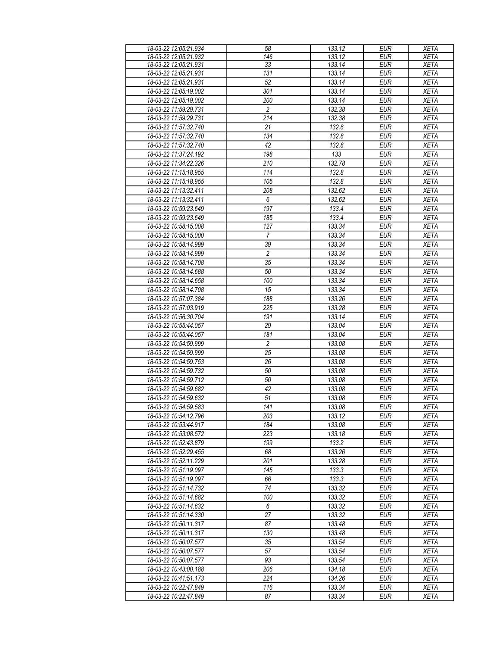| 18-03-22 12:05:21.934 | 58               | 133.12 | <b>EUR</b> | <b>XETA</b> |
|-----------------------|------------------|--------|------------|-------------|
| 18-03-22 12:05:21.932 | 146              | 133.12 | <b>EUR</b> | <b>XETA</b> |
| 18-03-22 12:05:21.931 | 33               | 133.14 | <b>EUR</b> | <b>XETA</b> |
| 18-03-22 12:05:21.931 | 131              | 133.14 | <b>EUR</b> | <b>XETA</b> |
| 18-03-22 12:05:21.931 | $\overline{52}$  | 133.14 | <b>EUR</b> | <b>XETA</b> |
| 18-03-22 12:05:19.002 | 301              | 133.14 | <b>EUR</b> | <b>XETA</b> |
| 18-03-22 12:05:19.002 | 200              | 133.14 | <b>EUR</b> | <b>XETA</b> |
|                       |                  |        |            |             |
| 18-03-22 11:59:29.731 | $\overline{c}$   | 132.38 | <b>EUR</b> | <b>XETA</b> |
| 18-03-22 11:59:29.731 | 214              | 132.38 | <b>EUR</b> | <b>XETA</b> |
| 18-03-22 11:57:32.740 | 21               | 132.8  | <b>EUR</b> | <b>XETA</b> |
| 18-03-22 11:57:32.740 | 134              | 132.8  | <b>EUR</b> | <b>XETA</b> |
| 18-03-22 11:57:32.740 | 42               | 132.8  | <b>EUR</b> | <b>XETA</b> |
| 18-03-22 11:37:24.192 | 198              | 133    | <b>EUR</b> | <b>XETA</b> |
| 18-03-22 11:34:22.326 | 210              | 132.78 | <b>EUR</b> | <b>XETA</b> |
| 18-03-22 11:15:18.955 | 114              | 132.8  | <b>EUR</b> | <b>XETA</b> |
| 18-03-22 11:15:18.955 | 105              | 132.8  | <b>EUR</b> | <b>XETA</b> |
| 18-03-22 11:13:32.411 | 208              | 132.62 | <b>EUR</b> | <b>XETA</b> |
| 18-03-22 11:13:32.411 | 6                | 132.62 | <b>EUR</b> | <b>XETA</b> |
| 18-03-22 10:59:23.649 | 197              | 133.4  | <b>EUR</b> | <b>XETA</b> |
| 18-03-22 10:59:23.649 | 185              | 133.4  | <b>EUR</b> | <b>XETA</b> |
| 18-03-22 10:58:15.008 | 127              | 133.34 | <b>EUR</b> | <b>XETA</b> |
|                       |                  |        | <b>EUR</b> |             |
| 18-03-22 10:58:15.000 | 7                | 133.34 |            | <b>XETA</b> |
| 18-03-22 10:58:14.999 | 39               | 133.34 | EUR        | <b>XETA</b> |
| 18-03-22 10:58:14.999 | $\overline{2}$   | 133.34 | <b>EUR</b> | <b>XETA</b> |
| 18-03-22 10:58:14.708 | $\overline{35}$  | 133.34 | <b>EUR</b> | <b>XETA</b> |
| 18-03-22 10:58:14.688 | 50               | 133.34 | <b>EUR</b> | <b>XETA</b> |
| 18-03-22 10:58:14.658 | 100              | 133.34 | <b>EUR</b> | <b>XETA</b> |
| 18-03-22 10:58:14.708 | 15               | 133.34 | <b>EUR</b> | <b>XETA</b> |
| 18-03-22 10:57:07.384 | 188              | 133.26 | <b>EUR</b> | <b>XETA</b> |
| 18-03-22 10:57:03.919 | $\overline{225}$ | 133.28 | <b>EUR</b> | <b>XETA</b> |
| 18-03-22 10:56:30.704 | 191              | 133.14 | <b>EUR</b> | <b>XETA</b> |
| 18-03-22 10:55:44.057 | 29               | 133.04 | <b>EUR</b> | <b>XETA</b> |
| 18-03-22 10:55:44.057 | 181              | 133.04 | <b>EUR</b> | <b>XETA</b> |
| 18-03-22 10:54:59.999 | $\overline{c}$   | 133.08 | <b>EUR</b> | <b>XETA</b> |
| 18-03-22 10:54:59.999 | 25               | 133.08 | <b>EUR</b> | <b>XETA</b> |
| 18-03-22 10:54:59.753 | 26               | 133.08 | <b>EUR</b> | <b>XETA</b> |
| 18-03-22 10:54:59.732 | 50               | 133.08 | <b>EUR</b> | <b>XETA</b> |
| 18-03-22 10:54:59.712 | 50               | 133.08 | <b>EUR</b> | <b>XETA</b> |
| 18-03-22 10:54:59.682 |                  |        |            |             |
|                       | 42               | 133.08 | <b>EUR</b> | <b>XETA</b> |
| 18-03-22 10:54:59.632 | 51               | 133.08 | <b>EUR</b> | <b>XETA</b> |
| 18-03-22 10:54:59.583 | 141              | 133.08 | EUR        | <b>XETA</b> |
| 18-03-22 10:54:12.796 | 203              | 133.12 | <b>EUR</b> | <b>XETA</b> |
| 18-03-22 10:53:44.917 | 184              | 133.08 | <b>EUR</b> | <b>XETA</b> |
| 18-03-22 10:53:08.572 | 223              | 133.18 | <b>EUR</b> | <b>XETA</b> |
| 18-03-22 10:52:43.879 | 199              | 133.2  | <b>EUR</b> | <b>XETA</b> |
| 18-03-22 10:52:29.455 | 68               | 133.26 | <b>EUR</b> | <b>XETA</b> |
| 18-03-22 10:52:11.229 | 201              | 133.28 | <b>EUR</b> | <b>XETA</b> |
| 18-03-22 10:51:19.097 | 145              | 133.3  | <b>EUR</b> | <b>XETA</b> |
| 18-03-22 10:51:19.097 | 66               | 133.3  | <b>EUR</b> | <b>XETA</b> |
| 18-03-22 10:51:14.732 | 74               | 133.32 | <b>EUR</b> | <b>XETA</b> |
| 18-03-22 10:51:14.682 | 100              | 133.32 | <b>EUR</b> | <b>XETA</b> |
| 18-03-22 10:51:14.632 | 6                | 133.32 | <b>EUR</b> | <b>XETA</b> |
| 18-03-22 10:51:14.330 | 27               | 133.32 | <b>EUR</b> | <b>XETA</b> |
| 18-03-22 10:50:11.317 | 87               | 133.48 | <b>EUR</b> | <b>XETA</b> |
| 18-03-22 10:50:11.317 | 130              | 133.48 | <b>EUR</b> | <b>XETA</b> |
| 18-03-22 10:50:07.577 | 35               | 133.54 | <b>EUR</b> | <b>XETA</b> |
| 18-03-22 10:50:07.577 | 57               | 133.54 | <b>EUR</b> | <b>XETA</b> |
|                       | 93               |        |            |             |
| 18-03-22 10:50:07.577 |                  | 133.54 | <b>EUR</b> | <b>XETA</b> |
| 18-03-22 10:43:00.188 | 206              | 134.18 | <b>EUR</b> | <b>XETA</b> |
| 18-03-22 10:41:51.173 | 224              | 134.26 | <b>EUR</b> | <b>XETA</b> |
| 18-03-22 10:22:47.849 | 116              | 133.34 | <b>EUR</b> | <b>XETA</b> |
| 18-03-22 10:22:47.849 | 87               | 133.34 | <b>EUR</b> | <b>XETA</b> |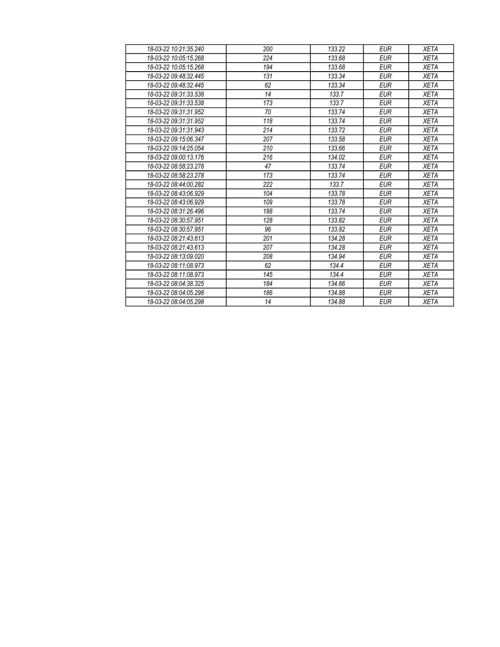| 18-03-22 10:21:35.240 | 200 | 133.22 | <b>EUR</b> | <b>XETA</b> |
|-----------------------|-----|--------|------------|-------------|
| 18-03-22 10:05:15.268 | 224 | 133.68 | <b>EUR</b> | <b>XETA</b> |
| 18-03-22 10:05:15.268 | 194 | 133.68 | <b>EUR</b> | <b>XETA</b> |
| 18-03-22 09:48:32.445 | 131 | 133.34 | <b>EUR</b> | <b>XETA</b> |
| 18-03-22 09:48:32.445 | 62  | 133.34 | <b>EUR</b> | <b>XETA</b> |
| 18-03-22 09:31:33.538 | 14  | 133.7  | <b>EUR</b> | <b>XETA</b> |
| 18-03-22 09:31:33.538 | 173 | 133.7  | <b>EUR</b> | <b>XETA</b> |
| 18-03-22 09:31:31.952 | 70  | 133.74 | <b>EUR</b> | <b>XETA</b> |
| 18-03-22 09:31:31.952 | 118 | 133.74 | <b>EUR</b> | <b>XETA</b> |
| 18-03-22 09:31:31.943 | 214 | 133.72 | <b>EUR</b> | <b>XETA</b> |
| 18-03-22 09:15:06.347 | 207 | 133.58 | <b>EUR</b> | <b>XETA</b> |
| 18-03-22 09:14:25 054 | 210 | 133.66 | <b>EUR</b> | <b>XETA</b> |
| 18-03-22 09:00:13.176 | 216 | 134.02 | <b>EUR</b> | <b>XETA</b> |
| 18-03-22 08:58:23.278 | 47  | 133.74 | <b>EUR</b> | <b>XETA</b> |
| 18-03-22 08:58:23.278 | 173 | 133.74 | <b>EUR</b> | <b>XETA</b> |
| 18-03-22 08:44:00.282 | 222 | 133.7  | <b>EUR</b> | <b>XETA</b> |
| 18-03-22 08:43:06.929 | 104 | 133.78 | <b>EUR</b> | <b>XETA</b> |
| 18-03-22 08:43:06.929 | 109 | 133.78 | <b>EUR</b> | <b>XETA</b> |
| 18-03-22 08:31:26.496 | 188 | 133.74 | <b>EUR</b> | <b>XETA</b> |
| 18-03-22 08:30:57.951 | 128 | 133.82 | <b>EUR</b> | <b>XETA</b> |
| 18-03-22 08:30:57.951 | 96  | 133.82 | <b>EUR</b> | <b>XETA</b> |
| 18-03-22 08:21:43.613 | 201 | 134.28 | <b>EUR</b> | <b>XETA</b> |
| 18-03-22 08:21:43.613 | 207 | 134.28 | <b>EUR</b> | <b>XETA</b> |
| 18-03-22 08:13:09.020 | 208 | 134.94 | <b>EUR</b> | <b>XETA</b> |
| 18-03-22 08:11:08.973 | 62  | 134.4  | <b>EUR</b> | <b>XETA</b> |
| 18-03-22 08:11:08.973 | 145 | 134.4  | <b>EUR</b> | <b>XETA</b> |
| 18-03-22 08:04:38.325 | 184 | 134.66 | <b>EUR</b> | <b>XETA</b> |
| 18-03-22 08:04:05.298 | 186 | 134.88 | <b>EUR</b> | <b>XETA</b> |
| 18-03-22 08:04:05.298 | 14  | 134.88 | <b>EUR</b> | <b>XETA</b> |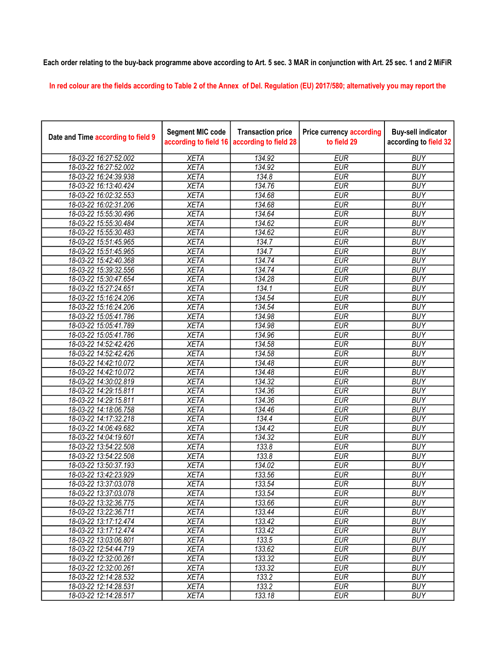## Each order relating to the buy-back programme above according to Art. 5 sec. 3 MAR in conjunction with Art. 25 sec. 1 and 2 MiFiR

In red colour are the fields according to Table 2 of the Annex of Del. Regulation (EU) 2017/580; alternatively you may report the

| Date and Time according to field 9 | <b>Segment MIC code</b><br>according to field 16 | <b>Transaction price</b><br>according to field 28 | <b>Price currency according</b><br>to field 29 | <b>Buy-sell indicator</b><br>according to field 32 |
|------------------------------------|--------------------------------------------------|---------------------------------------------------|------------------------------------------------|----------------------------------------------------|
| 18-03-22 16:27:52.002              | <b>XETA</b>                                      | 134.92                                            | <b>EUR</b>                                     | <b>BUY</b>                                         |
| 18-03-22 16:27:52.002              | <b>XETA</b>                                      | 134.92                                            | <b>EUR</b>                                     | <b>BUY</b>                                         |
| 18-03-22 16:24:39.938              | <b>XETA</b>                                      | 134.8                                             | <b>EUR</b>                                     | <b>BUY</b>                                         |
| 18-03-22 16:13:40.424              | <b>XETA</b>                                      | 134.76                                            | <b>EUR</b>                                     | <b>BUY</b>                                         |
| 18-03-22 16:02:32.553              | <b>XETA</b>                                      | 134.68                                            | <b>EUR</b>                                     | <b>BUY</b>                                         |
| 18-03-22 16:02:31.206              | <b>XETA</b>                                      | 134.68                                            | <b>EUR</b>                                     | <b>BUY</b>                                         |
| 18-03-22 15:55:30.496              | <b>XETA</b>                                      | 134.64                                            | <b>EUR</b>                                     | <b>BUY</b>                                         |
| 18-03-22 15:55:30.484              | <b>XETA</b>                                      | 134.62                                            | <b>EUR</b>                                     | <b>BUY</b>                                         |
| 18-03-22 15:55:30.483              | <b>XETA</b>                                      | 134.62                                            | <b>EUR</b>                                     | <b>BUY</b>                                         |
| 18-03-22 15:51:45.965              | <b>XETA</b>                                      | 134.7                                             | <b>EUR</b>                                     | <b>BUY</b>                                         |
| 18-03-22 15:51:45.965              | <b>XETA</b>                                      | 134.7                                             | <b>EUR</b>                                     | <b>BUY</b>                                         |
| 18-03-22 15:42:40.368              | <b>XETA</b>                                      | 134.74                                            | <b>EUR</b>                                     | <b>BUY</b>                                         |
| 18-03-22 15:39:32.556              | <b>XETA</b>                                      | 134.74                                            | <b>EUR</b>                                     | <b>BUY</b>                                         |
| 18-03-22 15:30:47.654              | <b>XETA</b>                                      | 134.28                                            | <b>EUR</b>                                     | <b>BUY</b>                                         |
| 18-03-22 15:27:24.651              | <b>XETA</b>                                      | 134.1                                             | <b>EUR</b>                                     | <b>BUY</b>                                         |
| 18-03-22 15:16:24.206              | <b>XETA</b>                                      | 134.54                                            | <b>EUR</b>                                     | <b>BUY</b>                                         |
| 18-03-22 15:16:24.206              | <b>XETA</b>                                      | 134.54                                            | <b>EUR</b>                                     | <b>BUY</b>                                         |
| 18-03-22 15:05:41.786              | <b>XETA</b>                                      | 134.98                                            | <b>EUR</b>                                     | <b>BUY</b>                                         |
| 18-03-22 15:05:41.789              | <b>XETA</b>                                      | 134.98                                            | <b>EUR</b>                                     | <b>BUY</b>                                         |
| 18-03-22 15:05:41.786              | <b>XETA</b>                                      | 134.96                                            | <b>EUR</b>                                     | <b>BUY</b>                                         |
| 18-03-22 14:52:42.426              | <b>XETA</b>                                      | 134.58                                            | <b>EUR</b>                                     | <b>BUY</b>                                         |
| 18-03-22 14:52:42.426              | <b>XETA</b>                                      | 134.58                                            | <b>EUR</b>                                     | <b>BUY</b>                                         |
| 18-03-22 14:42:10.072              | <b>XETA</b>                                      | 134.48                                            | <b>EUR</b>                                     | <b>BUY</b>                                         |
| 18-03-22 14:42:10.072              | <b>XETA</b>                                      | 134.48                                            | <b>EUR</b>                                     | <b>BUY</b>                                         |
| 18-03-22 14:30:02.819              | <b>XETA</b>                                      | 134.32                                            | <b>EUR</b>                                     | <b>BUY</b>                                         |
| 18-03-22 14:29:15.811              | <b>XETA</b>                                      | 134.36                                            | <b>EUR</b>                                     | <b>BUY</b>                                         |
| 18-03-22 14:29:15.811              | <b>XETA</b>                                      | 134.36                                            | <b>EUR</b>                                     | <b>BUY</b>                                         |
| 18-03-22 14:18:06.758              | <b>XETA</b>                                      | 134.46                                            | <b>EUR</b>                                     | <b>BUY</b>                                         |
| 18-03-22 14:17:32.218              | <b>XETA</b>                                      | 134.4                                             | <b>EUR</b>                                     | <b>BUY</b>                                         |
| 18-03-22 14:06:49.682              | <b>XETA</b>                                      | 134.42                                            | <b>EUR</b>                                     | <b>BUY</b>                                         |
| 18-03-22 14:04:19.601              | <b>XETA</b>                                      | 134.32                                            | <b>EUR</b>                                     | <b>BUY</b>                                         |
| 18-03-22 13:54:22.508              | <b>XETA</b>                                      | 133.8                                             | <b>EUR</b>                                     | <b>BUY</b>                                         |
| 18-03-22 13:54:22.508              | <b>XETA</b>                                      | 133.8                                             | <b>EUR</b>                                     | <b>BUY</b>                                         |
| 18-03-22 13:50:37.193              | <b>XETA</b>                                      | 134.02                                            | <b>EUR</b>                                     | <b>BUY</b>                                         |
| 18-03-22 13:42:23.929              | <b>XETA</b>                                      | 133.56                                            | <b>EUR</b>                                     | <b>BUY</b>                                         |
| 18-03-22 13:37:03.078              | <b>XETA</b>                                      | 133.54                                            | <b>EUR</b>                                     | <b>BUY</b>                                         |
| 18-03-22 13:37:03.078              | <b>XETA</b>                                      | 133.54                                            | <b>EUR</b>                                     | <b>BUY</b>                                         |
| 18-03-22 13:32:36.775              | <b>XETA</b>                                      | 133.66                                            | <b>EUR</b>                                     | <b>BUY</b>                                         |
| 18-03-22 13:22:36.711              | <b>XETA</b>                                      | 133.44                                            | <b>EUR</b>                                     | <b>BUY</b>                                         |
| 18-03-22 13:17:12.474              | <b>XETA</b>                                      | 133.42                                            | <b>EUR</b>                                     | <b>BUY</b>                                         |
| 18-03-22 13:17:12.474              | <b>XETA</b>                                      | 133.42                                            | <b>EUR</b>                                     | <b>BUY</b>                                         |
| 18-03-22 13:03:06.801              | <b>XETA</b>                                      | 133.5                                             | <b>EUR</b>                                     | <b>BUY</b>                                         |
| 18-03-22 12:54:44.719              | <b>XETA</b>                                      | 133.62                                            | <b>EUR</b>                                     | <b>BUY</b>                                         |
| 18-03-22 12:32:00.261              | <b>XETA</b>                                      | 133.32                                            | <b>EUR</b>                                     | <b>BUY</b>                                         |
| 18-03-22 12:32:00.261              | <b>XETA</b>                                      | 133.32                                            | <b>EUR</b>                                     | <b>BUY</b>                                         |
| 18-03-22 12:14:28.532              | <b>XETA</b>                                      | 133.2                                             | <b>EUR</b>                                     | <b>BUY</b>                                         |
| 18-03-22 12:14:28.531              | <b>XETA</b>                                      | 133.2                                             | <b>EUR</b>                                     | <b>BUY</b>                                         |
| 18-03-22 12:14:28.517              | <b>XETA</b>                                      | 133.18                                            | <b>EUR</b>                                     | <b>BUY</b>                                         |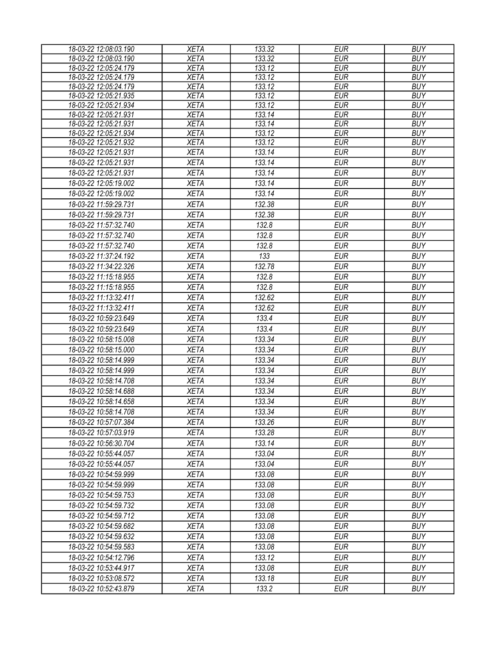| 18-03-22 12:08:03.190 | <b>XETA</b> | 133.32 | <b>EUR</b> | <b>BUY</b> |
|-----------------------|-------------|--------|------------|------------|
| 18-03-22 12:08:03.190 | <b>XETA</b> | 133.32 | <b>EUR</b> | <b>BUY</b> |
| 18-03-22 12:05:24.179 | <b>XETA</b> | 133.12 | <b>EUR</b> | <b>BUY</b> |
| 18-03-22 12:05:24.179 | <b>XETA</b> | 133.12 | <b>EUR</b> | <b>BUY</b> |
| 18-03-22 12:05:24.179 | <b>XETA</b> | 133.12 | <b>EUR</b> | <b>BUY</b> |
| 18-03-22 12:05:21.935 | <b>XETA</b> | 133.12 | <b>EUR</b> | <b>BUY</b> |
| 18-03-22 12:05:21.934 | <b>XETA</b> | 133.12 | <b>EUR</b> | <b>BUY</b> |
| 18-03-22 12:05:21.931 | <b>XETA</b> | 133.14 | <b>EUR</b> | <b>BUY</b> |
| 18-03-22 12:05:21.931 | <b>XETA</b> | 133.14 | <b>EUR</b> | <b>BUY</b> |
| 18-03-22 12:05:21.934 | <b>XETA</b> | 133.12 | <b>EUR</b> | <b>BUY</b> |
| 18-03-22 12:05:21.932 | <b>XETA</b> | 133.12 | <b>EUR</b> | <b>BUY</b> |
| 18-03-22 12:05:21.931 | <b>XETA</b> | 133.14 | <b>EUR</b> | <b>BUY</b> |
| 18-03-22 12:05:21.931 | <b>XETA</b> | 133.14 | <b>EUR</b> | <b>BUY</b> |
| 18-03-22 12:05:21.931 | <b>XETA</b> | 133.14 | <b>EUR</b> | <b>BUY</b> |
| 18-03-22 12:05:19.002 | <b>XETA</b> | 133.14 | <b>EUR</b> | <b>BUY</b> |
| 18-03-22 12:05:19.002 | <b>XETA</b> | 133.14 | <b>EUR</b> | <b>BUY</b> |
| 18-03-22 11:59:29.731 | <b>XETA</b> | 132.38 | <b>EUR</b> | <b>BUY</b> |
| 18-03-22 11:59:29.731 | <b>XETA</b> | 132.38 | <b>EUR</b> | <b>BUY</b> |
| 18-03-22 11:57:32.740 | <b>XETA</b> | 132.8  | <b>EUR</b> | <b>BUY</b> |
| 18-03-22 11:57:32.740 | <b>XETA</b> | 132.8  | <b>EUR</b> | <b>BUY</b> |
| 18-03-22 11:57:32.740 | <b>XETA</b> | 132.8  | <b>EUR</b> | <b>BUY</b> |
| 18-03-22 11:37:24.192 | <b>XETA</b> | 133    | <b>EUR</b> | <b>BUY</b> |
| 18-03-22 11:34:22.326 | <b>XETA</b> | 132.78 | <b>EUR</b> | <b>BUY</b> |
| 18-03-22 11:15:18.955 | <b>XETA</b> | 132.8  | <b>EUR</b> | <b>BUY</b> |
| 18-03-22 11:15:18.955 |             | 132.8  | <b>EUR</b> | <b>BUY</b> |
|                       | <b>XETA</b> |        |            |            |
| 18-03-22 11:13:32.411 | <b>XETA</b> | 132.62 | <b>EUR</b> | <b>BUY</b> |
| 18-03-22 11:13:32.411 | <b>XETA</b> | 132.62 | <b>EUR</b> | <b>BUY</b> |
| 18-03-22 10:59:23.649 | <b>XETA</b> | 133.4  | <b>EUR</b> | <b>BUY</b> |
| 18-03-22 10:59:23.649 | <b>XETA</b> | 133.4  | <b>EUR</b> | <b>BUY</b> |
| 18-03-22 10:58:15.008 | <b>XETA</b> | 133.34 | <b>EUR</b> | <b>BUY</b> |
| 18-03-22 10:58:15.000 | <b>XETA</b> | 133.34 | <b>EUR</b> | <b>BUY</b> |
| 18-03-22 10:58:14.999 | <b>XETA</b> | 133.34 | <b>EUR</b> | <b>BUY</b> |
| 18-03-22 10:58:14.999 | <b>XETA</b> | 133.34 | <b>EUR</b> | <b>BUY</b> |
| 18-03-22 10:58:14.708 | <b>XETA</b> | 133.34 | <b>EUR</b> | <b>BUY</b> |
| 18-03-22 10:58:14.688 | <b>XETA</b> | 133.34 | <b>EUR</b> | <b>BUY</b> |
| 18-03-22 10:58:14.658 | <b>XETA</b> | 133.34 | <b>EUR</b> | <b>BUY</b> |
| 18-03-22 10:58:14.708 | <b>XETA</b> | 133.34 | <b>EUR</b> | <b>BUY</b> |
| 18-03-22 10:57:07.384 | <b>XETA</b> | 133.26 | EUR        | <b>BUY</b> |
| 18-03-22 10:57:03.919 | <b>XETA</b> | 133.28 | <b>EUR</b> | <b>BUY</b> |
| 18-03-22 10:56:30.704 | <b>XETA</b> | 133.14 | <b>EUR</b> | <b>BUY</b> |
| 18-03-22 10:55:44.057 | <b>XETA</b> | 133.04 | <b>EUR</b> | <b>BUY</b> |
| 18-03-22 10:55:44.057 | <b>XETA</b> | 133.04 | <b>EUR</b> | <b>BUY</b> |
|                       |             |        |            | <b>BUY</b> |
| 18-03-22 10:54:59.999 | <b>XETA</b> | 133.08 | <b>EUR</b> |            |
| 18-03-22 10:54:59.999 | <b>XETA</b> | 133.08 | <b>EUR</b> | <b>BUY</b> |
| 18-03-22 10:54:59.753 | <b>XETA</b> | 133.08 | <b>EUR</b> | <b>BUY</b> |
| 18-03-22 10:54:59.732 | <b>XETA</b> | 133.08 | <b>EUR</b> | <b>BUY</b> |
| 18-03-22 10:54:59.712 | <b>XETA</b> | 133.08 | <b>EUR</b> | <b>BUY</b> |
| 18-03-22 10:54:59.682 | <b>XETA</b> | 133.08 | <b>EUR</b> | <b>BUY</b> |
| 18-03-22 10:54:59.632 | <b>XETA</b> | 133.08 | <b>EUR</b> | <b>BUY</b> |
| 18-03-22 10:54:59.583 | <b>XETA</b> | 133.08 | <b>EUR</b> | <b>BUY</b> |
| 18-03-22 10:54:12.796 | <b>XETA</b> | 133.12 | <b>EUR</b> | <b>BUY</b> |
| 18-03-22 10:53:44.917 | <b>XETA</b> | 133.08 | <b>EUR</b> | <b>BUY</b> |
| 18-03-22 10:53:08.572 | <b>XETA</b> | 133.18 | <b>EUR</b> | <b>BUY</b> |
| 18-03-22 10:52:43.879 | <b>XETA</b> | 133.2  | <b>EUR</b> | <b>BUY</b> |
|                       |             |        |            |            |